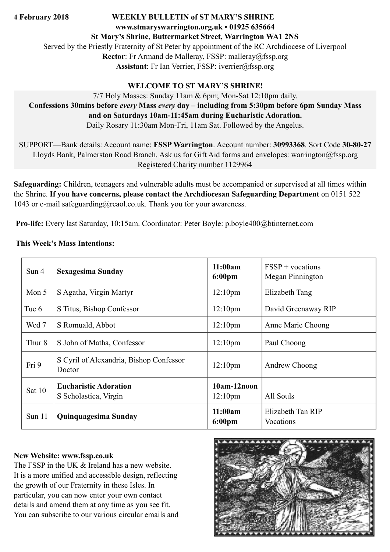# **4 February 2018 WEEKLY BULLETIN of ST MARY'S SHRINE www.stmaryswarrington.org.uk • 01925 635664 St Mary's Shrine, Buttermarket Street, Warrington WA1 2NS**  Served by the Priestly Fraternity of St Peter by appointment of the RC Archdiocese of Liverpool **Rector**: Fr Armand de Malleray, FSSP: malleray@fssp.org **Assistant**: Fr Ian Verrier, FSSP: iverrier*@*fssp.org

## **WELCOME TO ST MARY'S SHRINE!**

7/7 Holy Masses: Sunday 11am & 6pm; Mon-Sat 12:10pm daily. **Confessions 30mins before** *every* **Mass** *every* **day – including from 5:30pm before 6pm Sunday Mass and on Saturdays 10am-11:45am during Eucharistic Adoration.**  Daily Rosary 11:30am Mon-Fri, 11am Sat. Followed by the Angelus.

SUPPORT—Bank details: Account name: **FSSP Warrington**. Account number: **30993368**. Sort Code **30-80-27** Lloyds Bank, Palmerston Road Branch. Ask us for Gift Aid forms and envelopes: warrington*@*fssp.org Registered Charity number 1129964

**Safeguarding:** Children, teenagers and vulnerable adults must be accompanied or supervised at all times within the Shrine. **If you have concerns, please contact the Archdiocesan Safeguarding Department** on 0151 522 1043 or e-mail safeguarding@rcaol.co.uk. Thank you for your awareness.

 **Pro-life:** Every last Saturday, 10:15am. Coordinator: Peter Boyle: p.boyle400*@*btinternet.com

|  | This Week's Mass Intentions: |  |
|--|------------------------------|--|
|  |                              |  |

| Sun <sub>4</sub>  | <b>Sexagesima Sunday</b>                              | 11:00am<br>6:00 <sub>pm</sub>        | $FSSP + vocations$<br>Megan Pinnington |
|-------------------|-------------------------------------------------------|--------------------------------------|----------------------------------------|
| Mon 5             | S Agatha, Virgin Martyr                               | 12:10 <sub>pm</sub>                  | Elizabeth Tang                         |
| Tue 6             | S Titus, Bishop Confessor                             | 12:10 <sub>pm</sub>                  | David Greenaway RIP                    |
| Wed 7             | S Romuald, Abbot                                      | 12:10 <sub>pm</sub>                  | Anne Marie Choong                      |
| Thur <sub>8</sub> | S John of Matha, Confessor                            | 12:10 <sub>pm</sub>                  | Paul Choong                            |
| Fri 9             | S Cyril of Alexandria, Bishop Confessor<br>Doctor     | 12:10 <sub>pm</sub>                  | Andrew Choong                          |
| Sat 10            | <b>Eucharistic Adoration</b><br>S Scholastica, Virgin | $10am-12noon$<br>12:10 <sub>pm</sub> | All Souls                              |
| Sun <sub>11</sub> | Quinquagesima Sunday                                  | 11:00am<br>6:00 <sub>pm</sub>        | Elizabeth Tan RIP<br>Vocations         |

## **New Website: www.fssp.co.uk**

The FSSP in the UK & Ireland has a new website. It is a more unified and accessible design, reflecting the growth of our Fraternity in these Isles. In particular, you can now enter your own contact details and amend them at any time as you see fit. You can subscribe to our various circular emails and